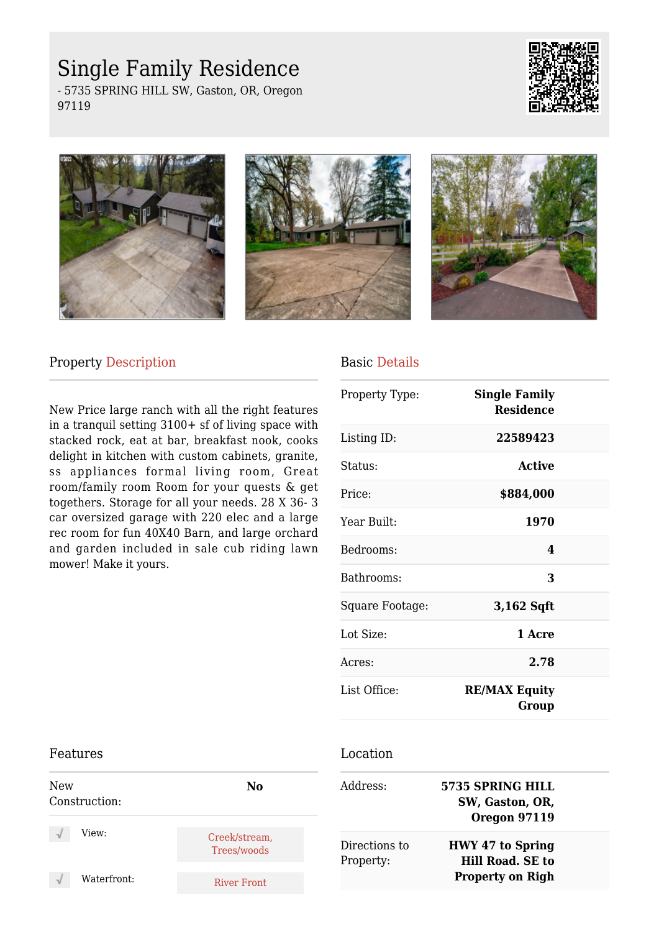## Single Family Residence

- 5735 SPRING HILL SW, Gaston, OR, Oregon 97119









### Property Description

New Price large ranch with all the right features in a tranquil setting 3100+ sf of living space with stacked rock, eat at bar, breakfast nook, cooks delight in kitchen with custom cabinets, granite, ss appliances formal living room, Great room/family room Room for your quests & get togethers. Storage for all your needs. 28 X 36- 3 car oversized garage with 220 elec and a large rec room for fun 40X40 Barn, and large orchard and garden included in sale cub riding lawn mower! Make it yours.

# Basic Details

| <b>Single Family</b><br><b>Residence</b> |  |
|------------------------------------------|--|
| 22589423                                 |  |
| Active                                   |  |
| \$884,000                                |  |
| 1970                                     |  |
| 4                                        |  |
| 3                                        |  |
| 3,162 Sqft                               |  |
| 1 Acre                                   |  |
| 2.78                                     |  |
| <b>RE/MAX Equity</b><br>Group            |  |
|                                          |  |

#### Features New Construction: **No** View: Creek/stream, Trees/woods Waterfront: River Front Location Address: **5735 SPRING HILL SW, Gaston, OR, Oregon 97119** Directions to Property: **HWY 47 to Spring Hill Road. SE to Property on Righ**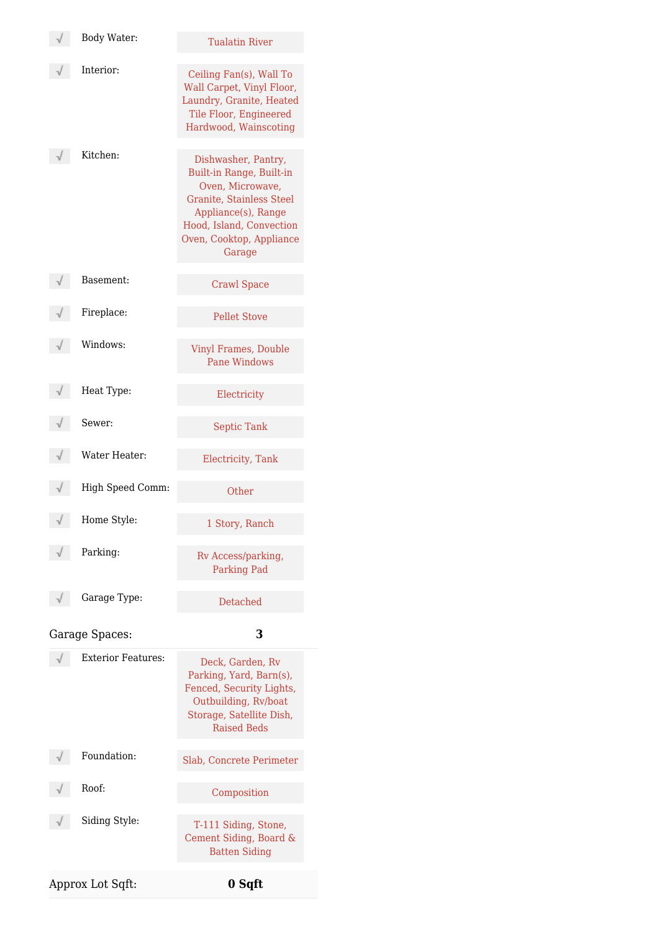| Body Water:               | <b>Tualatin River</b>                                                                                                                                                                    |
|---------------------------|------------------------------------------------------------------------------------------------------------------------------------------------------------------------------------------|
| Interior:                 | Ceiling Fan(s), Wall To<br>Wall Carpet, Vinyl Floor,<br>Laundry, Granite, Heated<br>Tile Floor, Engineered<br>Hardwood, Wainscoting                                                      |
| Kitchen:                  | Dishwasher, Pantry,<br>Built-in Range, Built-in<br>Oven, Microwave,<br>Granite, Stainless Steel<br>Appliance(s), Range<br>Hood, Island, Convection<br>Oven, Cooktop, Appliance<br>Garage |
| Basement:                 | <b>Crawl Space</b>                                                                                                                                                                       |
| Fireplace:                | <b>Pellet Stove</b>                                                                                                                                                                      |
| Windows:                  | <b>Vinyl Frames, Double</b><br><b>Pane Windows</b>                                                                                                                                       |
| Heat Type:                | Electricity                                                                                                                                                                              |
| Sewer:                    | <b>Septic Tank</b>                                                                                                                                                                       |
| Water Heater:             | Electricity, Tank                                                                                                                                                                        |
| High Speed Comm:          | Other                                                                                                                                                                                    |
| Home Style:               | 1 Story, Ranch                                                                                                                                                                           |
| Parking:                  | Rv Access/parking,<br><b>Parking Pad</b>                                                                                                                                                 |
| Garage Type:              | Detached                                                                                                                                                                                 |
| Garage Spaces:            | 3                                                                                                                                                                                        |
| <b>Exterior Features:</b> | Deck, Garden, Rv<br>Parking, Yard, Barn(s),<br>Fenced, Security Lights,<br>Outbuilding, Rv/boat<br>Storage, Satellite Dish,<br><b>Raised Beds</b>                                        |
| Foundation:               | Slab, Concrete Perimeter                                                                                                                                                                 |
| Roof:                     | Composition                                                                                                                                                                              |
| Siding Style:             | T-111 Siding, Stone,<br>Cement Siding, Board &<br><b>Batten Siding</b>                                                                                                                   |
| Approx Lot Sqft:          | 0 Sqft                                                                                                                                                                                   |